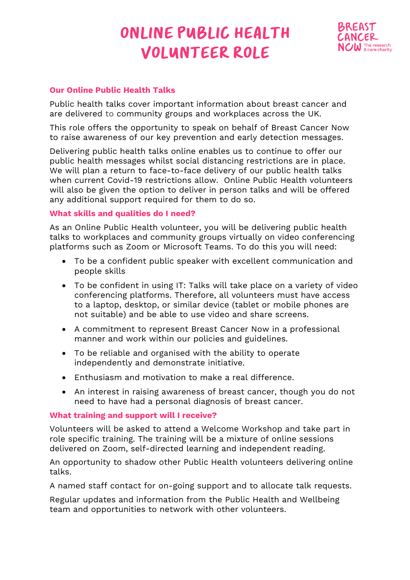# ONLINE PUBLIC HEALTH **VOLUNTEER ROLE**



### **Our Online Public Health Talks**

Public health talks cover important information about breast cancer and are delivered to community groups and workplaces across the UK.

This role offers the opportunity to speak on behalf of Breast Cancer Now to raise awareness of our key prevention and early detection messages.

Delivering public health talks online enables us to continue to offer our public health messages whilst social distancing restrictions are in place. We will plan a return to face-to-face delivery of our public health talks when current Covid-19 restrictions allow. Online Public Health volunteers will also be given the option to deliver in person talks and will be offered any additional support required for them to do so.

#### **What skills and qualities do I need?**

As an Online Public Health volunteer, you will be delivering public health talks to workplaces and community groups virtually on video conferencing platforms such as Zoom or Microsoft Teams. To do this you will need:

- To be a confident public speaker with excellent communication and people skills
- To be confident in using IT: Talks will take place on a variety of video conferencing platforms. Therefore, all volunteers must have access to a laptop, desktop, or similar device (tablet or mobile phones are not suitable) and be able to use video and share screens.
- A commitment to represent Breast Cancer Now in a professional manner and work within our policies and guidelines.
- To be reliable and organised with the ability to operate independently and demonstrate initiative.
- Enthusiasm and motivation to make a real difference.
- An interest in raising awareness of breast cancer, though you do not need to have had a personal diagnosis of breast cancer.

#### **What training and support will I receive?**

Volunteers will be asked to attend a Welcome Workshop and take part in role specific training. The training will be a mixture of online sessions delivered on Zoom, self-directed learning and independent reading.

An opportunity to shadow other Public Health volunteers delivering online talks.

A named staff contact for on-going support and to allocate talk requests.

Regular updates and information from the Public Health and Wellbeing team and opportunities to network with other volunteers.